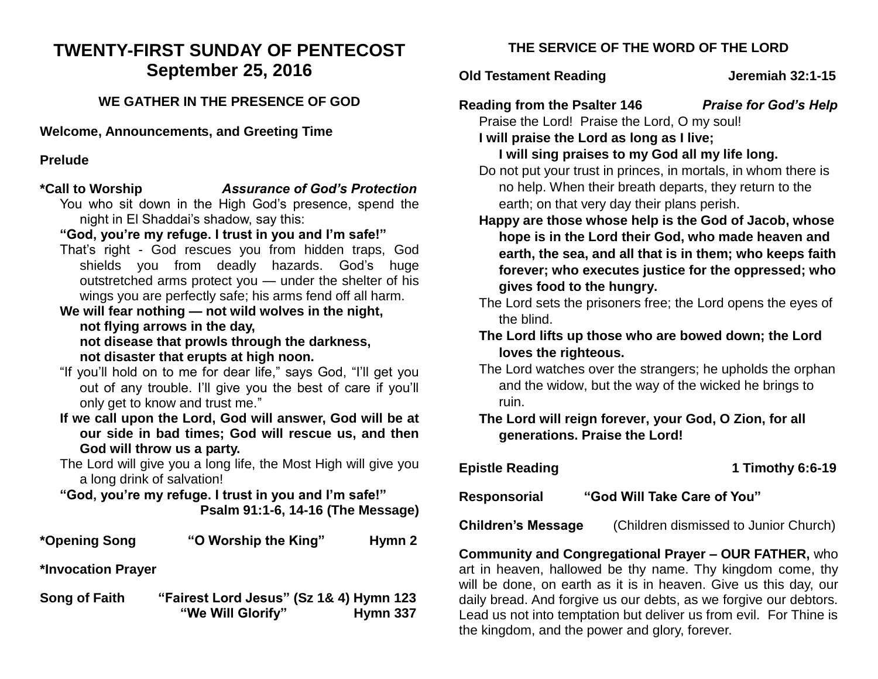# **TWENTY-FIRST SUNDAY OF PENTECOST September 25, 2016**

### **WE GATHER IN THE PRESENCE OF GOD**

**Welcome, Announcements, and Greeting Time** 

### **Prelude**

- **\*Call to Worship** *Assurance of God's Protection* You who sit down in the High God's presence, spend the night in El Shaddai's shadow, say this:
	- **"God, you're my refuge. I trust in you and I'm safe!"**
	- That's right God rescues you from hidden traps, God shields you from deadly hazards. God's huge outstretched arms protect you — under the shelter of his wings you are perfectly safe; his arms fend off all harm.
	- **We will fear nothing — not wild wolves in the night, not flying arrows in the day,**

**not disease that prowls through the darkness, not disaster that erupts at high noon.**

- "If you'll hold on to me for dear life," says God, "I'll get you out of any trouble. I'll give you the best of care if you'll only get to know and trust me."
- **If we call upon the Lord, God will answer, God will be at our side in bad times; God will rescue us, and then God will throw us a party.**
- The Lord will give you a long life, the Most High will give you a long drink of salvation!

**"God, you're my refuge. I trust in you and I'm safe!" Psalm 91:1-6, 14-16 (The Message)**

|  | *Opening Song | "O Worship the King" | Hymn <sub>2</sub> |
|--|---------------|----------------------|-------------------|
|--|---------------|----------------------|-------------------|

**\*Invocation Prayer** 

**Song of Faith "Fairest Lord Jesus" (Sz 1& 4) Hymn 123 "We Will Glorify" Hymn 337**

## **THE SERVICE OF THE WORD OF THE LORD**

### **Old Testament Reading Constrained Serverse Serverse Serverse Serverse Serverse Serverse Serverse Serverse Serverse Serverse Serverse Serverse Serverse Serverse Serverse Serverse Serverse Serverse Serverse Serverse Servers**

**Reading from the Psalter 146** *Praise for God's Help*

Praise the Lord! Praise the Lord, O my soul! **I will praise the Lord as long as I live;**

## **I will sing praises to my God all my life long.**

Do not put your trust in princes, in mortals, in whom there is no help. When their breath departs, they return to the earth; on that very day their plans perish.

- **Happy are those whose help is the God of Jacob, whose hope is in the Lord their God, who made heaven and earth, the sea, and all that is in them; who keeps faith forever; who executes justice for the oppressed; who gives food to the hungry.**
- The Lord sets the prisoners free; the Lord opens the eyes of the blind.
- **The Lord lifts up those who are bowed down; the Lord loves the righteous.**
- The Lord watches over the strangers; he upholds the orphan and the widow, but the way of the wicked he brings to ruin.

**The Lord will reign forever, your God, O Zion, for all generations. Praise the Lord!**

| <b>Epistle Reading</b>                      | 1 Timothy 6:6-19                      |  |  |
|---------------------------------------------|---------------------------------------|--|--|
| "God Will Take Care of You"<br>Responsorial |                                       |  |  |
| <b>Children's Message</b>                   | (Children dismissed to Junior Church) |  |  |

**Community and Congregational Prayer – OUR FATHER,** who art in heaven, hallowed be thy name. Thy kingdom come, thy will be done, on earth as it is in heaven. Give us this day, our daily bread. And forgive us our debts, as we forgive our debtors. Lead us not into temptation but deliver us from evil. For Thine is the kingdom, and the power and glory, forever.